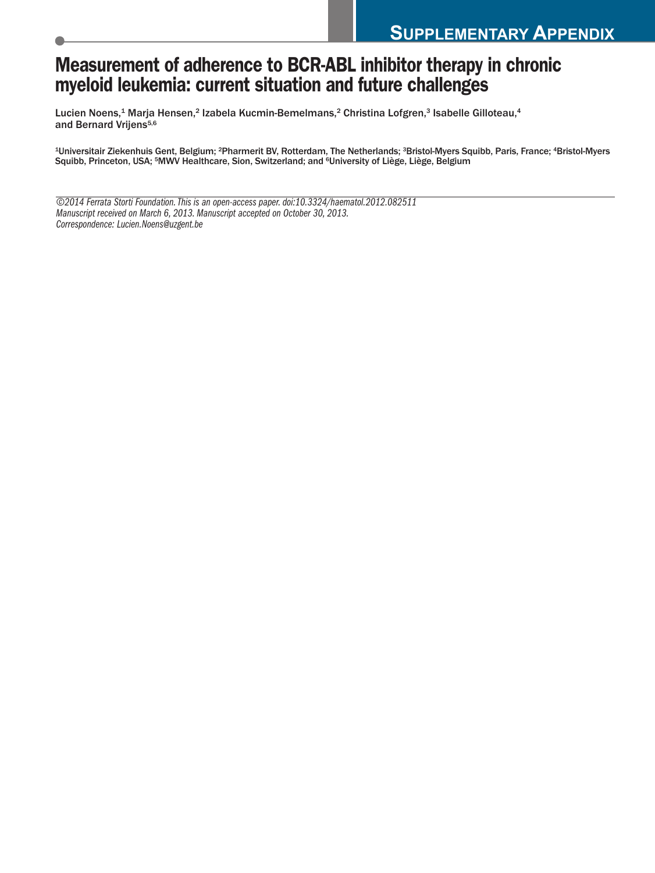## **Measurement of adherence to BCR-ABL inhibitor therapy in chronic myeloid leukemia: current situation and future challenges**

Lucien Noens, <sup>1</sup> Marja Hensen, <sup>2</sup> Izabela Kucmin-Bemelmans, <sup>2</sup> Christina Lofgren, <sup>3</sup> Isabelle Gilloteau, 4 and Bernard Vrijens<sup>5,6</sup>

1Universitair Ziekenhuis Gent, Belgium; 2Pharmerit BV, Rotterdam, The Netherlands; 3Bristol-Myers Squibb, Paris, France; 4Bristol-Myers Squibb, Princeton, USA; <sup>s</sup>MWV Healthcare, Sion, Switzerland; and <sup>6</sup>University of Liège, Liège, Belgium

*©2014 Ferrata Storti Foundation.This is an open-access paper.doi:10.3324/haematol.2012.082511 Manuscript received on March 6, 2013. Manuscript accepted on October 30, 2013. Correspondence: Lucien.Noens@uzgent.be*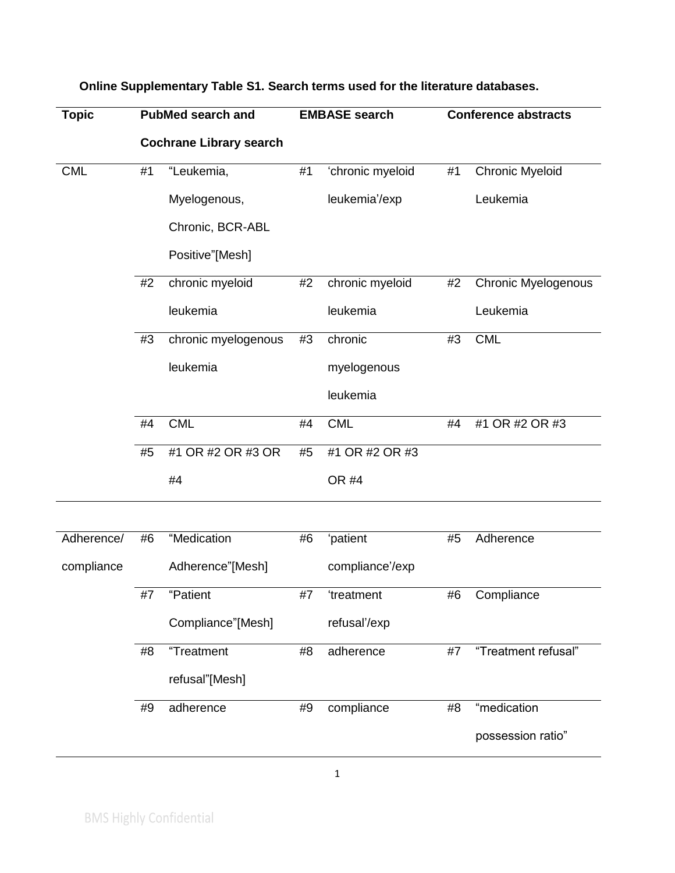| <b>Topic</b> |    | <b>PubMed search and</b>       |    | <b>EMBASE</b> search |    | <b>Conference abstracts</b> |  |
|--------------|----|--------------------------------|----|----------------------|----|-----------------------------|--|
|              |    | <b>Cochrane Library search</b> |    |                      |    |                             |  |
| <b>CML</b>   | #1 | "Leukemia,                     | #1 | 'chronic myeloid     | #1 | <b>Chronic Myeloid</b>      |  |
|              |    | Myelogenous,                   |    | leukemia'/exp        |    | Leukemia                    |  |
|              |    | Chronic, BCR-ABL               |    |                      |    |                             |  |
|              |    | Positive"[Mesh]                |    |                      |    |                             |  |
|              | #2 | chronic myeloid                | #2 | chronic myeloid      | #2 | <b>Chronic Myelogenous</b>  |  |
|              |    | leukemia                       |    | leukemia             |    | Leukemia                    |  |
|              | #3 | chronic myelogenous            | #3 | chronic              | #3 | <b>CML</b>                  |  |
|              |    | leukemia                       |    | myelogenous          |    |                             |  |
|              |    |                                |    | leukemia             |    |                             |  |
|              | #4 | <b>CML</b>                     | #4 | <b>CML</b>           | #4 | #1 OR #2 OR #3              |  |
|              | #5 | #1 OR #2 OR #3 OR              | #5 | #1 OR #2 OR #3       |    |                             |  |
|              |    | #4                             |    | OR #4                |    |                             |  |
|              |    |                                |    |                      |    |                             |  |
| Adherence/   | #6 | "Medication                    | #6 | 'patient             | #5 | Adherence                   |  |
| compliance   |    | Adherence"[Mesh]               |    | compliance'/exp      |    |                             |  |
|              | #7 | "Patient                       | #7 | 'treatment           | #6 | Compliance                  |  |
|              |    | Compliance"[Mesh]              |    | refusal'/exp         |    |                             |  |
|              | #8 | "Treatment                     | #8 | adherence            | #7 | "Treatment refusal"         |  |
|              |    | refusal"[Mesh]                 |    |                      |    |                             |  |
|              | #9 | adherence                      | #9 | compliance           |    | "medication                 |  |
|              |    |                                |    |                      |    | possession ratio"           |  |

## **Online Supplementary Table S1. Search terms used for the literature databases.**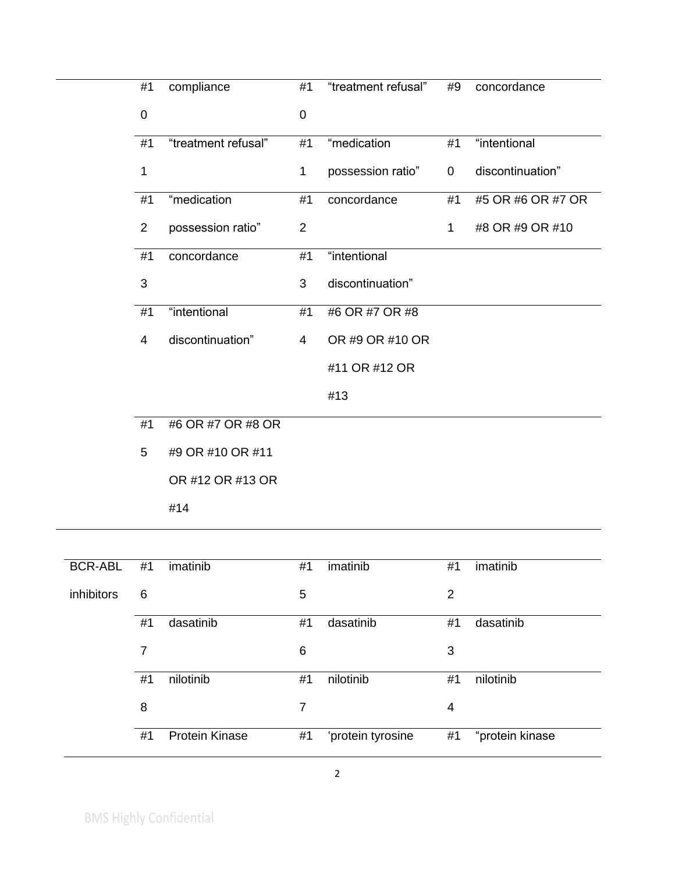| #1             | compliance          | #1             | "treatment refusal" | #9          | concordance       |
|----------------|---------------------|----------------|---------------------|-------------|-------------------|
| $\mathbf 0$    |                     | $\mathbf 0$    |                     |             |                   |
| #1             | "treatment refusal" | #1             | "medication         | #1          | "intentional      |
| 1              |                     | 1              | possession ratio"   | 0           | discontinuation"  |
| #1             | "medication         | #1             | concordance         | #1          | #5 OR #6 OR #7 OR |
| $\overline{2}$ | possession ratio"   | $\overline{2}$ |                     | $\mathbf 1$ | #8 OR #9 OR #10   |
| #1             | concordance         | #1             | "intentional        |             |                   |
| 3              |                     | 3              | discontinuation"    |             |                   |
| #1             | "intentional        | #1             | #6 OR #7 OR #8      |             |                   |
| 4              | discontinuation"    | $\overline{4}$ | OR #9 OR #10 OR     |             |                   |
|                |                     |                | #11 OR #12 OR       |             |                   |
|                |                     |                | #13                 |             |                   |
| #1             | #6 OR #7 OR #8 OR   |                |                     |             |                   |
| 5              | #9 OR #10 OR #11    |                |                     |             |                   |
|                | OR #12 OR #13 OR    |                |                     |             |                   |

|  |  | UR #12 UR #1 |  |
|--|--|--------------|--|
|  |  |              |  |
|  |  |              |  |

#14

| "protein kinase |
|-----------------|
|                 |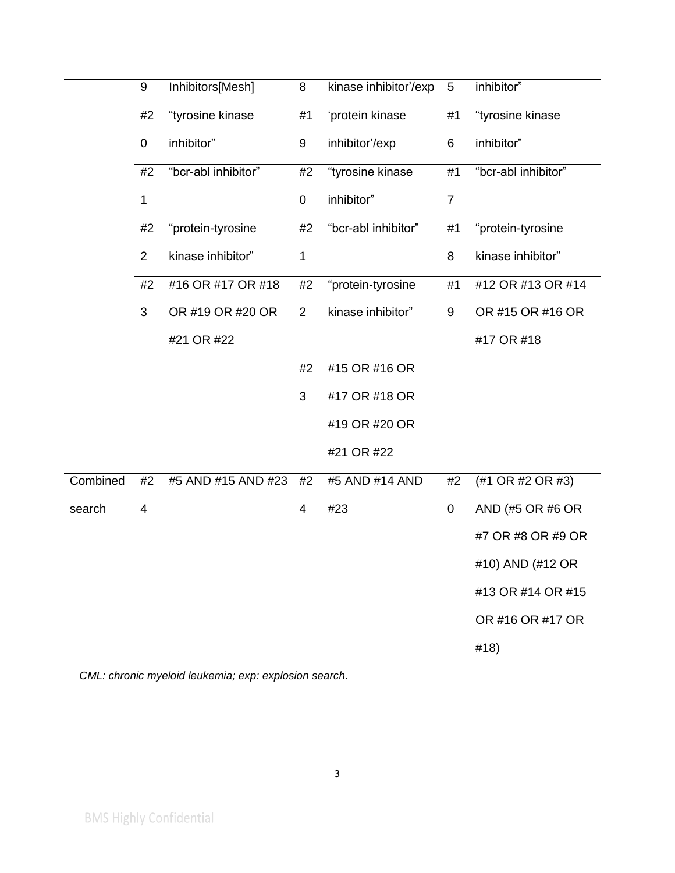|          | 9                     | Inhibitors[Mesh]    | 8              | kinase inhibitor'/exp | $5\phantom{.0}$ | inhibitor"          |
|----------|-----------------------|---------------------|----------------|-----------------------|-----------------|---------------------|
|          | #2                    | "tyrosine kinase    | #1             | 'protein kinase       | #1              | "tyrosine kinase    |
|          | 0                     | inhibitor"          | 9              | inhibitor'/exp        | 6               | inhibitor"          |
|          | #2                    | "bcr-abl inhibitor" | #2             | "tyrosine kinase      |                 | "bcr-abl inhibitor" |
|          | 1                     |                     | 0              | inhibitor"            | $\overline{7}$  |                     |
|          | #2                    | "protein-tyrosine   | #2             | "bcr-abl inhibitor"   | #1              | "protein-tyrosine   |
|          | $\overline{2}$        | kinase inhibitor"   | 1              |                       | 8               | kinase inhibitor"   |
|          | #2                    | #16 OR #17 OR #18   | #2             | "protein-tyrosine     | #1              | #12 OR #13 OR #14   |
|          | 3<br>OR #19 OR #20 OR |                     | $\overline{2}$ | kinase inhibitor"     | 9               | OR #15 OR #16 OR    |
|          |                       | #21 OR #22          |                |                       |                 | #17 OR #18          |
|          |                       |                     | #2             | #15 OR #16 OR         |                 |                     |
|          |                       |                     | 3              | #17 OR #18 OR         |                 |                     |
|          |                       |                     |                | #19 OR #20 OR         |                 |                     |
|          |                       |                     |                | #21 OR #22            |                 |                     |
| Combined | #2                    | #5 AND #15 AND #23  | #2             | #5 AND #14 AND        | #2              | (#1 OR #2 OR #3)    |
| search   | 4                     |                     | 4              | #23                   | 0               | AND (#5 OR #6 OR    |
|          |                       |                     |                |                       |                 | #7 OR #8 OR #9 OR   |
|          |                       |                     |                |                       |                 | #10) AND (#12 OR    |
|          |                       |                     |                |                       |                 | #13 OR #14 OR #15   |
|          |                       |                     |                |                       |                 | OR #16 OR #17 OR    |
|          |                       |                     |                |                       |                 | #18)                |

*CML: chronic myeloid leukemia; exp: explosion search.*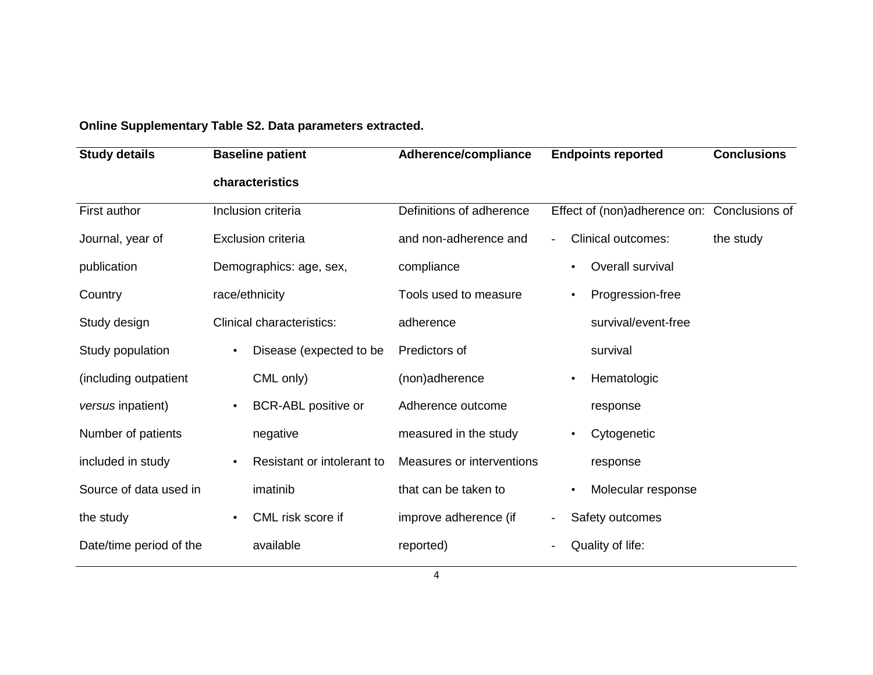**Online Supplementary Table S2. Data parameters extracted.**

| <b>Study details</b>    | <b>Baseline patient</b>                 | Adherence/compliance      | <b>Endpoints reported</b>                   | <b>Conclusions</b> |  |
|-------------------------|-----------------------------------------|---------------------------|---------------------------------------------|--------------------|--|
|                         | characteristics                         |                           |                                             |                    |  |
| First author            | Inclusion criteria                      | Definitions of adherence  | Effect of (non)adherence on: Conclusions of |                    |  |
| Journal, year of        | <b>Exclusion criteria</b>               | and non-adherence and     | <b>Clinical outcomes:</b>                   | the study          |  |
| publication             | Demographics: age, sex,                 | compliance                | Overall survival                            |                    |  |
| Country                 | race/ethnicity                          | Tools used to measure     | Progression-free                            |                    |  |
| Study design            | <b>Clinical characteristics:</b>        | adherence                 | survival/event-free                         |                    |  |
| Study population        | Disease (expected to be<br>$\bullet$    | Predictors of             | survival                                    |                    |  |
| (including outpatient   | CML only)                               | (non)adherence            | Hematologic                                 |                    |  |
| versus inpatient)       | BCR-ABL positive or<br>$\bullet$        | Adherence outcome         | response                                    |                    |  |
| Number of patients      | negative                                | measured in the study     | Cytogenetic                                 |                    |  |
| included in study       | Resistant or intolerant to<br>$\bullet$ | Measures or interventions | response                                    |                    |  |
| Source of data used in  | imatinib                                | that can be taken to      | Molecular response<br>$\bullet$             |                    |  |
| the study               | CML risk score if<br>$\bullet$          | improve adherence (if     | Safety outcomes<br>$\overline{\phantom{a}}$ |                    |  |
| Date/time period of the | available                               | reported)                 | Quality of life:                            |                    |  |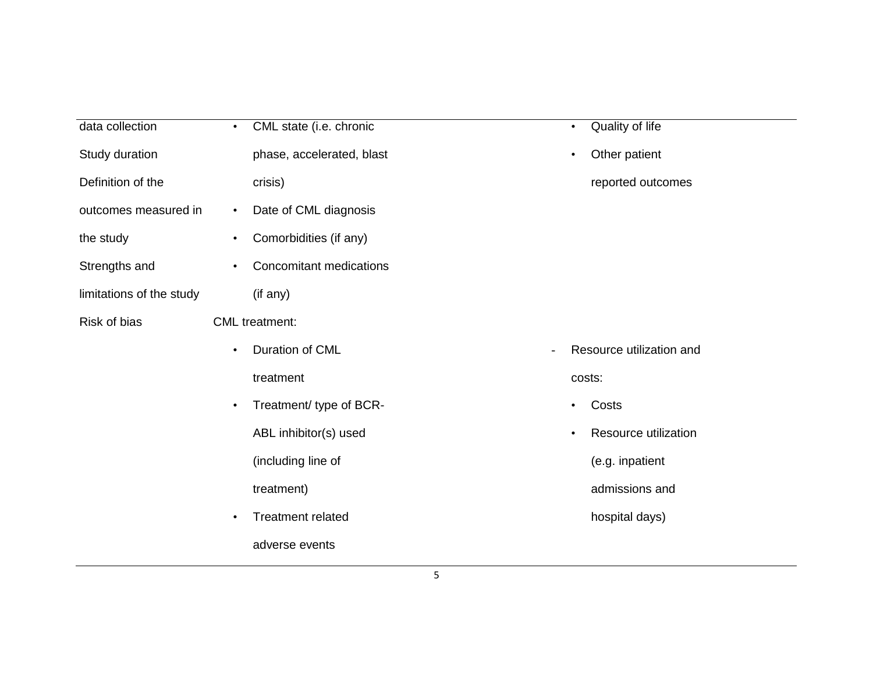| data collection          | CML state (i.e. chronic<br>$\bullet$        | Quality of life<br>$\bullet$      |
|--------------------------|---------------------------------------------|-----------------------------------|
| Study duration           | phase, accelerated, blast                   | Other patient<br>$\bullet$        |
| Definition of the        | crisis)                                     | reported outcomes                 |
| outcomes measured in     | Date of CML diagnosis<br>$\bullet$          |                                   |
| the study                | Comorbidities (if any)<br>$\bullet$         |                                   |
| Strengths and            | <b>Concomitant medications</b><br>$\bullet$ |                                   |
| limitations of the study | (if any)                                    |                                   |
| Risk of bias             | <b>CML</b> treatment:                       |                                   |
|                          | Duration of CML<br>$\bullet$                | Resource utilization and          |
|                          | treatment                                   | costs:                            |
|                          | Treatment/ type of BCR-<br>$\bullet$        | Costs<br>$\bullet$                |
|                          | ABL inhibitor(s) used                       | Resource utilization<br>$\bullet$ |
|                          | (including line of                          | (e.g. inpatient                   |
|                          | treatment)                                  | admissions and                    |
|                          | <b>Treatment related</b><br>$\bullet$       | hospital days)                    |
|                          | adverse events                              |                                   |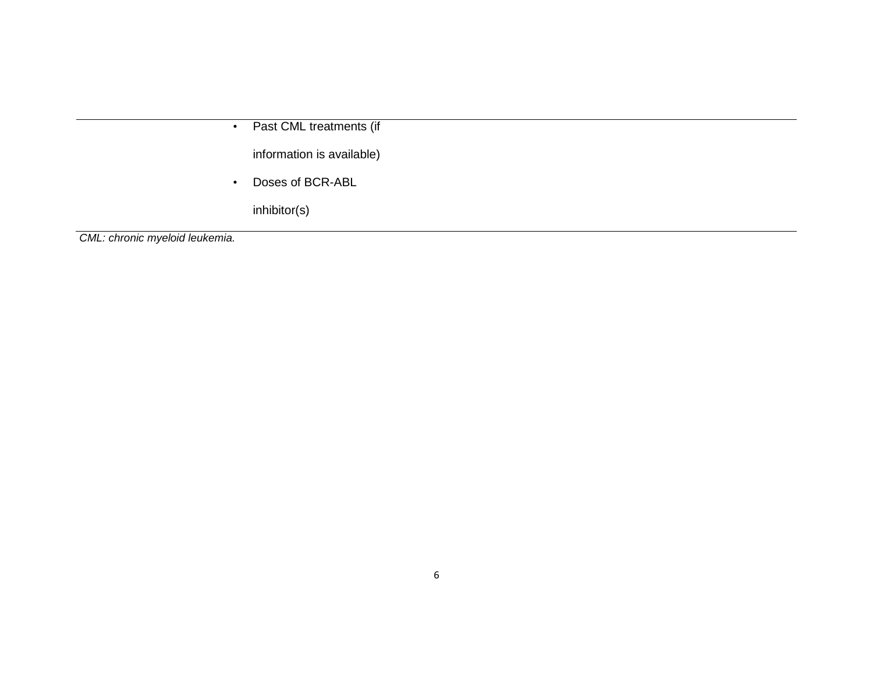• Past CML treatments (if

information is available)

• Doses of BCR-ABL

inhibitor(s)

*CML: chronic myeloid leukemia.*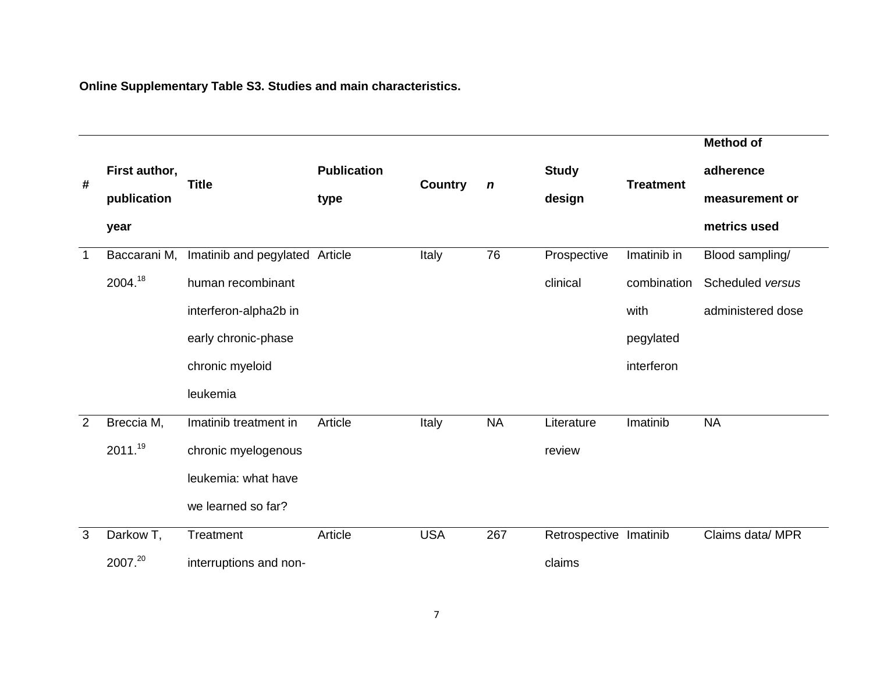**Online Supplementary Table S3. Studies and main characteristics.**

|             |               |                                |                    |                |                  |                        |                  | <b>Method of</b>  |
|-------------|---------------|--------------------------------|--------------------|----------------|------------------|------------------------|------------------|-------------------|
| #           | First author, | <b>Title</b>                   | <b>Publication</b> | <b>Country</b> | $\boldsymbol{n}$ | <b>Study</b>           | <b>Treatment</b> | adherence         |
|             | publication   |                                | type               |                |                  | design                 |                  | measurement or    |
|             | year          |                                |                    |                |                  |                        |                  | metrics used      |
| $\mathbf 1$ | Baccarani M,  | Imatinib and pegylated Article |                    | Italy          | 76               | Prospective            | Imatinib in      | Blood sampling/   |
|             | 2004.18       | human recombinant              |                    |                |                  | clinical               | combination      | Scheduled versus  |
|             |               | interferon-alpha2b in          |                    |                |                  |                        | with             | administered dose |
|             |               | early chronic-phase            |                    |                |                  |                        | pegylated        |                   |
|             |               | chronic myeloid                |                    |                |                  |                        | interferon       |                   |
|             |               | leukemia                       |                    |                |                  |                        |                  |                   |
| 2           | Breccia M,    | Imatinib treatment in          | Article            | Italy          | <b>NA</b>        | Literature             | Imatinib         | <b>NA</b>         |
|             | 2011.19       | chronic myelogenous            |                    |                |                  | review                 |                  |                   |
|             |               | leukemia: what have            |                    |                |                  |                        |                  |                   |
|             |               | we learned so far?             |                    |                |                  |                        |                  |                   |
| 3           | Darkow T,     | Treatment                      | Article            | <b>USA</b>     | 267              | Retrospective Imatinib |                  | Claims data/ MPR  |
|             | 2007.20       | interruptions and non-         |                    |                |                  | claims                 |                  |                   |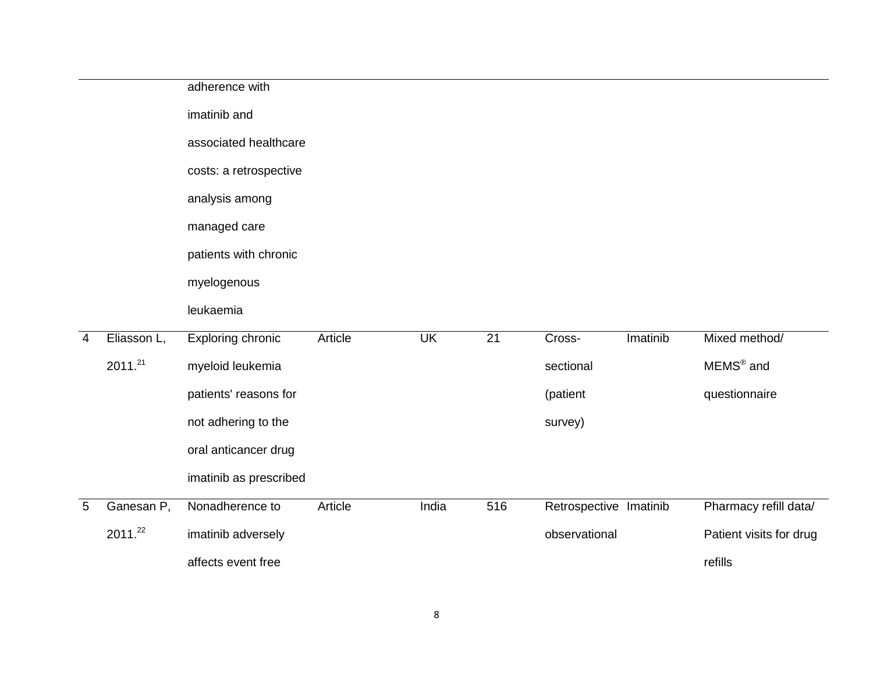|                |                     | adherence with         |         |           |     |                        |          |                         |
|----------------|---------------------|------------------------|---------|-----------|-----|------------------------|----------|-------------------------|
|                |                     | imatinib and           |         |           |     |                        |          |                         |
|                |                     | associated healthcare  |         |           |     |                        |          |                         |
|                |                     | costs: a retrospective |         |           |     |                        |          |                         |
|                |                     | analysis among         |         |           |     |                        |          |                         |
|                |                     | managed care           |         |           |     |                        |          |                         |
|                |                     | patients with chronic  |         |           |     |                        |          |                         |
|                |                     | myelogenous            |         |           |     |                        |          |                         |
|                |                     | leukaemia              |         |           |     |                        |          |                         |
| $\overline{4}$ | Eliasson L,         | Exploring chronic      | Article | <b>UK</b> | 21  | Cross-                 | Imatinib | Mixed method/           |
|                | 2011. <sup>21</sup> | myeloid leukemia       |         |           |     | sectional              |          | MEMS <sup>®</sup> and   |
|                |                     | patients' reasons for  |         |           |     | (patient               |          | questionnaire           |
|                |                     | not adhering to the    |         |           |     | survey)                |          |                         |
|                |                     | oral anticancer drug   |         |           |     |                        |          |                         |
|                |                     | imatinib as prescribed |         |           |     |                        |          |                         |
| $\overline{5}$ | Ganesan P,          | Nonadherence to        | Article | India     | 516 | Retrospective Imatinib |          | Pharmacy refill data/   |
|                | 2011.22             | imatinib adversely     |         |           |     | observational          |          | Patient visits for drug |
|                |                     | affects event free     |         |           |     |                        |          | refills                 |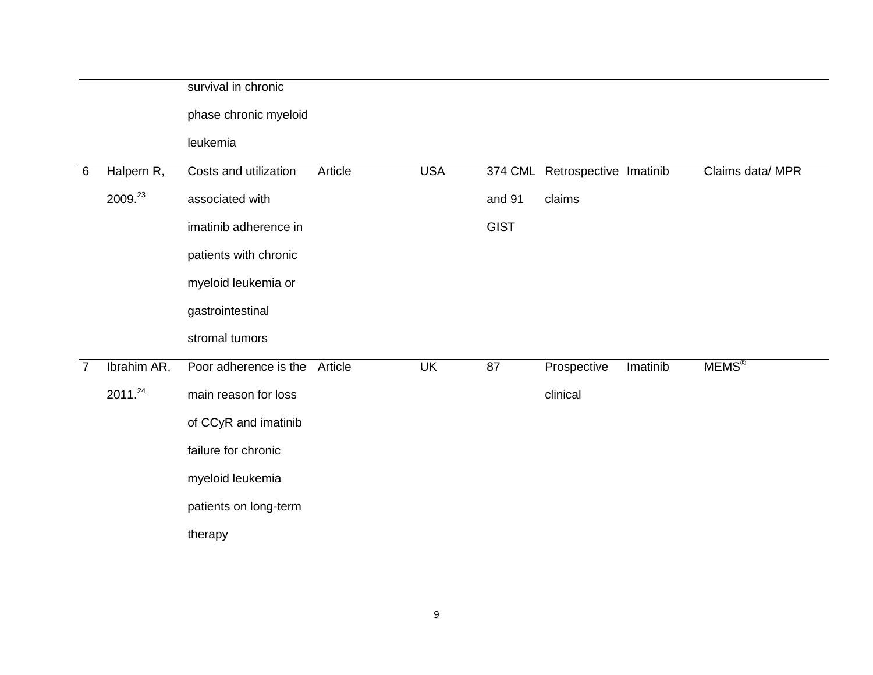|                |             | survival in chronic           |         |            |             |                                |          |                  |
|----------------|-------------|-------------------------------|---------|------------|-------------|--------------------------------|----------|------------------|
|                |             | phase chronic myeloid         |         |            |             |                                |          |                  |
|                |             | leukemia                      |         |            |             |                                |          |                  |
| $\,6\,$        | Halpern R,  | Costs and utilization         | Article | <b>USA</b> |             | 374 CML Retrospective Imatinib |          | Claims data/ MPR |
|                | 2009.23     | associated with               |         |            | and 91      | claims                         |          |                  |
|                |             | imatinib adherence in         |         |            | <b>GIST</b> |                                |          |                  |
|                |             | patients with chronic         |         |            |             |                                |          |                  |
|                |             | myeloid leukemia or           |         |            |             |                                |          |                  |
|                |             | gastrointestinal              |         |            |             |                                |          |                  |
|                |             | stromal tumors                |         |            |             |                                |          |                  |
| $\overline{7}$ | Ibrahim AR, | Poor adherence is the Article |         | <b>UK</b>  | 87          | Prospective                    | Imatinib | <b>MEMS®</b>     |
|                | 2011.24     | main reason for loss          |         |            |             | clinical                       |          |                  |
|                |             | of CCyR and imatinib          |         |            |             |                                |          |                  |
|                |             | failure for chronic           |         |            |             |                                |          |                  |
|                |             | myeloid leukemia              |         |            |             |                                |          |                  |
|                |             | patients on long-term         |         |            |             |                                |          |                  |
|                |             | therapy                       |         |            |             |                                |          |                  |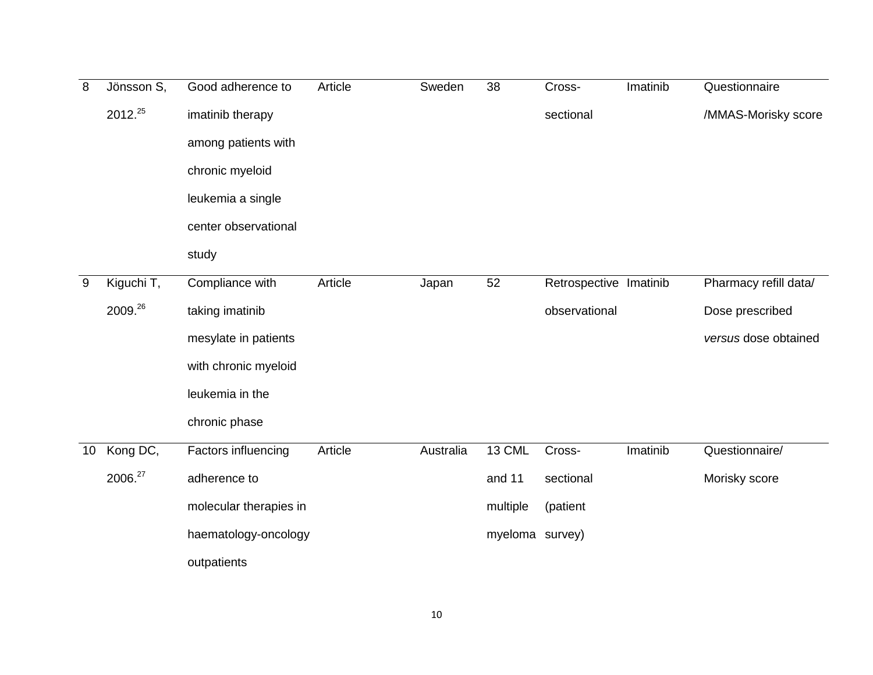| 8  | Jönsson S, | Good adherence to          | Article | Sweden    | 38              | Cross-                 | Imatinib | Questionnaire         |
|----|------------|----------------------------|---------|-----------|-----------------|------------------------|----------|-----------------------|
|    | 2012.25    | imatinib therapy           |         |           |                 | sectional              |          | /MMAS-Morisky score   |
|    |            | among patients with        |         |           |                 |                        |          |                       |
|    |            | chronic myeloid            |         |           |                 |                        |          |                       |
|    |            | leukemia a single          |         |           |                 |                        |          |                       |
|    |            | center observational       |         |           |                 |                        |          |                       |
|    |            | study                      |         |           |                 |                        |          |                       |
| 9  | Kiguchi T, | Compliance with            | Article | Japan     | 52              | Retrospective Imatinib |          | Pharmacy refill data/ |
|    | 2009.26    | taking imatinib            |         |           |                 | observational          |          | Dose prescribed       |
|    |            | mesylate in patients       |         |           |                 |                        |          | versus dose obtained  |
|    |            | with chronic myeloid       |         |           |                 |                        |          |                       |
|    |            | leukemia in the            |         |           |                 |                        |          |                       |
|    |            | chronic phase              |         |           |                 |                        |          |                       |
| 10 | Kong DC,   | <b>Factors influencing</b> | Article | Australia | 13 CML          | Cross-                 | Imatinib | Questionnaire/        |
|    | 2006.27    | adherence to               |         |           | and 11          | sectional              |          | Morisky score         |
|    |            | molecular therapies in     |         |           | multiple        | (patient               |          |                       |
|    |            | haematology-oncology       |         |           | myeloma survey) |                        |          |                       |
|    |            | outpatients                |         |           |                 |                        |          |                       |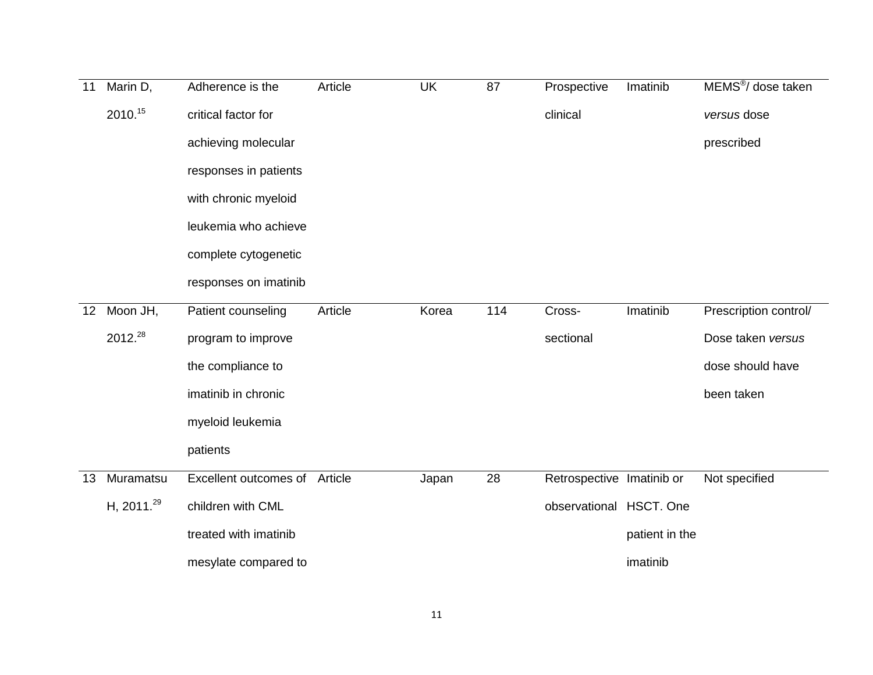| 11 | Marin D,         | Adherence is the              | Article | <b>UK</b> | 87  | Prospective               | Imatinib       | MEMS <sup>®</sup> / dose taken |
|----|------------------|-------------------------------|---------|-----------|-----|---------------------------|----------------|--------------------------------|
|    | 2010.15          | critical factor for           |         |           |     | clinical                  |                | versus dose                    |
|    |                  | achieving molecular           |         |           |     |                           |                | prescribed                     |
|    |                  | responses in patients         |         |           |     |                           |                |                                |
|    |                  | with chronic myeloid          |         |           |     |                           |                |                                |
|    |                  | leukemia who achieve          |         |           |     |                           |                |                                |
|    |                  | complete cytogenetic          |         |           |     |                           |                |                                |
|    |                  | responses on imatinib         |         |           |     |                           |                |                                |
| 12 | Moon $JH$ ,      | Patient counseling            | Article | Korea     | 114 | Cross-                    | Imatinib       | Prescription control/          |
|    | 2012.28          | program to improve            |         |           |     | sectional                 |                | Dose taken versus              |
|    |                  | the compliance to             |         |           |     |                           |                | dose should have               |
|    |                  | imatinib in chronic           |         |           |     |                           |                | been taken                     |
|    |                  | myeloid leukemia              |         |           |     |                           |                |                                |
|    |                  | patients                      |         |           |     |                           |                |                                |
| 13 | Muramatsu        | Excellent outcomes of Article |         | Japan     | 28  | Retrospective Imatinib or |                | Not specified                  |
|    | H, 2011. $^{29}$ | children with CML             |         |           |     | observational HSCT. One   |                |                                |
|    |                  | treated with imatinib         |         |           |     |                           | patient in the |                                |
|    |                  | mesylate compared to          |         |           |     |                           | imatinib       |                                |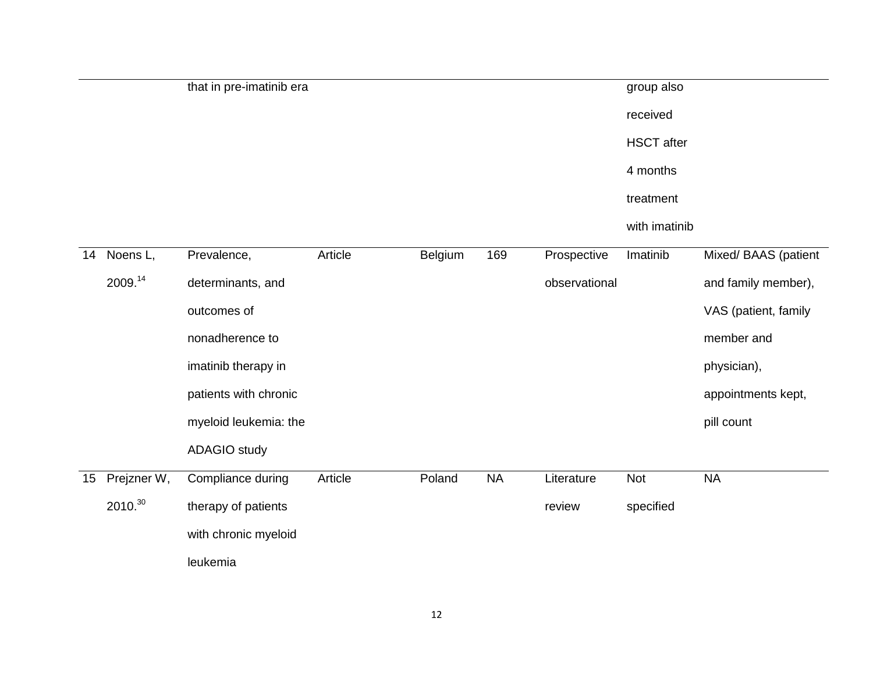|    |             | that in pre-imatinib era |         |         |           |               | group also        |                      |
|----|-------------|--------------------------|---------|---------|-----------|---------------|-------------------|----------------------|
|    |             |                          |         |         |           |               | received          |                      |
|    |             |                          |         |         |           |               | <b>HSCT</b> after |                      |
|    |             |                          |         |         |           |               | 4 months          |                      |
|    |             |                          |         |         |           |               | treatment         |                      |
|    |             |                          |         |         |           |               | with imatinib     |                      |
| 14 | Noens L,    | Prevalence,              | Article | Belgium | 169       | Prospective   | Imatinib          | Mixed/ BAAS (patient |
|    | 2009.14     | determinants, and        |         |         |           | observational |                   | and family member),  |
|    |             | outcomes of              |         |         |           |               |                   | VAS (patient, family |
|    |             | nonadherence to          |         |         |           |               |                   | member and           |
|    |             | imatinib therapy in      |         |         |           |               |                   | physician),          |
|    |             | patients with chronic    |         |         |           |               |                   | appointments kept,   |
|    |             | myeloid leukemia: the    |         |         |           |               |                   | pill count           |
|    |             | <b>ADAGIO</b> study      |         |         |           |               |                   |                      |
| 15 | Prejzner W, | Compliance during        | Article | Poland  | <b>NA</b> | Literature    | <b>Not</b>        | <b>NA</b>            |
|    | 2010.30     | therapy of patients      |         |         |           | review        | specified         |                      |
|    |             | with chronic myeloid     |         |         |           |               |                   |                      |
|    |             | leukemia                 |         |         |           |               |                   |                      |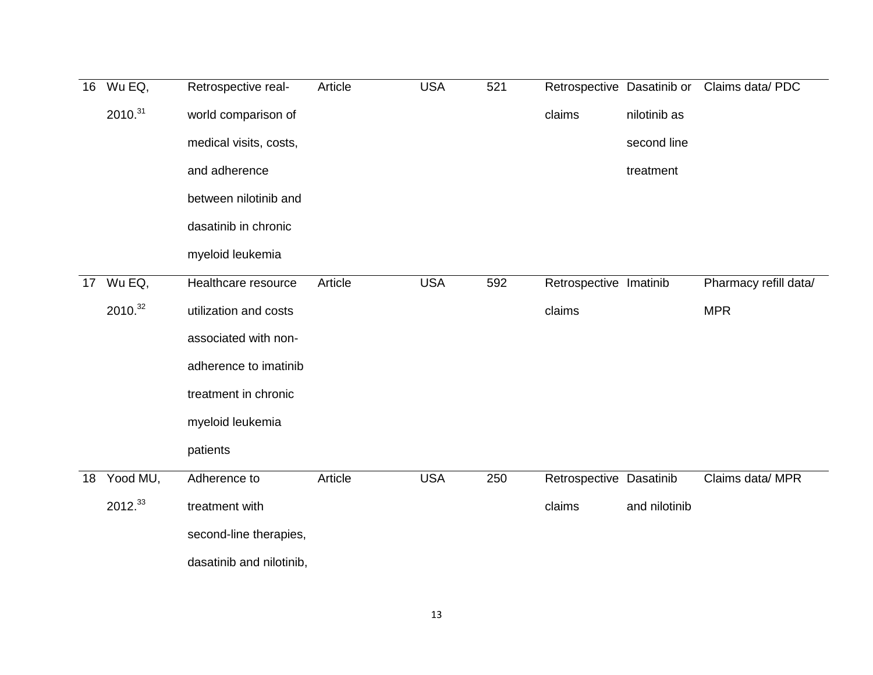| 16 | Wu EQ,              | Retrospective real-      | Article | <b>USA</b> | 521 | Retrospective Dasatinib or |               | Claims data/ PDC      |
|----|---------------------|--------------------------|---------|------------|-----|----------------------------|---------------|-----------------------|
|    | 2010. <sup>31</sup> | world comparison of      |         |            |     | claims                     | nilotinib as  |                       |
|    |                     | medical visits, costs,   |         |            |     |                            | second line   |                       |
|    |                     | and adherence            |         |            |     |                            | treatment     |                       |
|    |                     | between nilotinib and    |         |            |     |                            |               |                       |
|    |                     | dasatinib in chronic     |         |            |     |                            |               |                       |
|    |                     | myeloid leukemia         |         |            |     |                            |               |                       |
| 17 | Wu EQ,              | Healthcare resource      | Article | <b>USA</b> | 592 | Retrospective Imatinib     |               | Pharmacy refill data/ |
|    | 2010.32             | utilization and costs    |         |            |     | claims                     |               | <b>MPR</b>            |
|    |                     | associated with non-     |         |            |     |                            |               |                       |
|    |                     | adherence to imatinib    |         |            |     |                            |               |                       |
|    |                     | treatment in chronic     |         |            |     |                            |               |                       |
|    |                     | myeloid leukemia         |         |            |     |                            |               |                       |
|    |                     | patients                 |         |            |     |                            |               |                       |
| 18 | Yood MU,            | Adherence to             | Article | <b>USA</b> | 250 | Retrospective Dasatinib    |               | Claims data/ MPR      |
|    | 2012.33             | treatment with           |         |            |     | claims                     | and nilotinib |                       |
|    |                     | second-line therapies,   |         |            |     |                            |               |                       |
|    |                     | dasatinib and nilotinib, |         |            |     |                            |               |                       |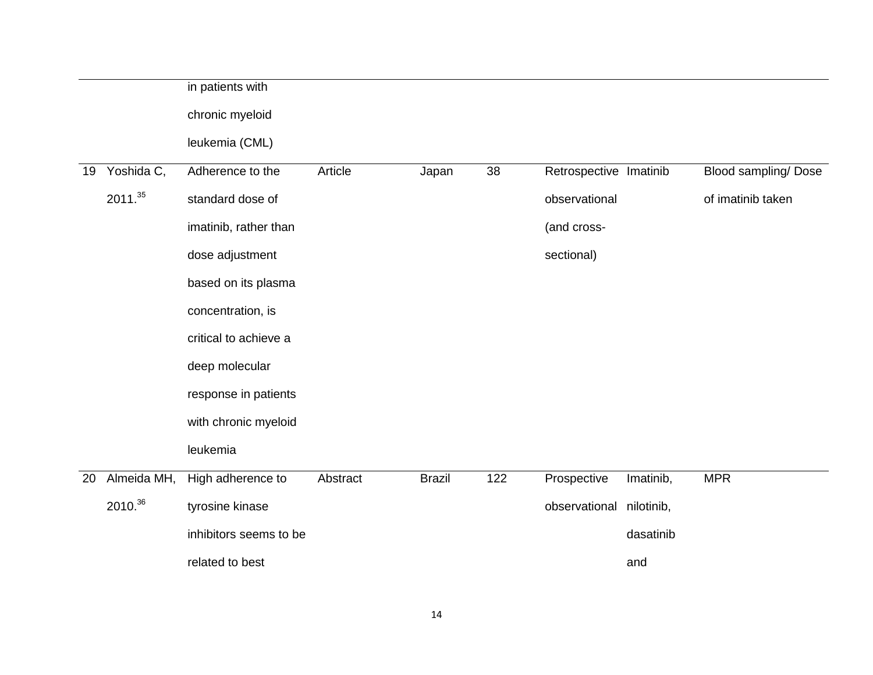|    |                     | in patients with       |          |               |     |                        |            |                            |
|----|---------------------|------------------------|----------|---------------|-----|------------------------|------------|----------------------------|
|    |                     | chronic myeloid        |          |               |     |                        |            |                            |
|    |                     | leukemia (CML)         |          |               |     |                        |            |                            |
| 19 | Yoshida C,          | Adherence to the       | Article  | Japan         | 38  | Retrospective Imatinib |            | <b>Blood sampling/Dose</b> |
|    | 2011. <sup>35</sup> | standard dose of       |          |               |     | observational          |            | of imatinib taken          |
|    |                     | imatinib, rather than  |          |               |     | (and cross-            |            |                            |
|    |                     | dose adjustment        |          |               |     | sectional)             |            |                            |
|    |                     | based on its plasma    |          |               |     |                        |            |                            |
|    |                     | concentration, is      |          |               |     |                        |            |                            |
|    |                     | critical to achieve a  |          |               |     |                        |            |                            |
|    |                     | deep molecular         |          |               |     |                        |            |                            |
|    |                     | response in patients   |          |               |     |                        |            |                            |
|    |                     | with chronic myeloid   |          |               |     |                        |            |                            |
|    |                     | leukemia               |          |               |     |                        |            |                            |
| 20 | Almeida MH,         | High adherence to      | Abstract | <b>Brazil</b> | 122 | Prospective            | Imatinib,  | <b>MPR</b>                 |
|    | 2010.36             | tyrosine kinase        |          |               |     | observational          | nilotinib, |                            |
|    |                     | inhibitors seems to be |          |               |     |                        | dasatinib  |                            |
|    |                     | related to best        |          |               |     |                        | and        |                            |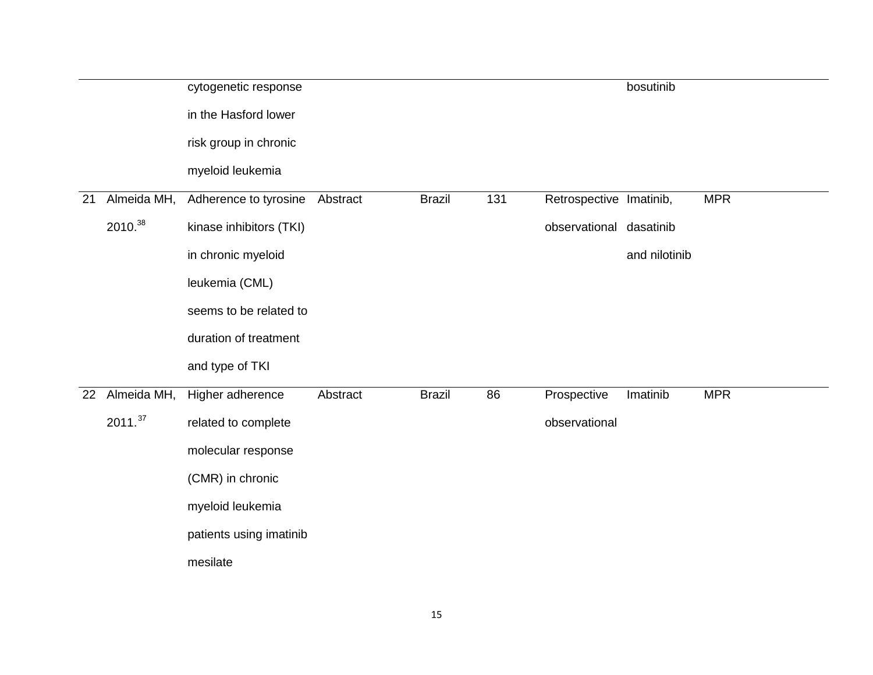|    |                     | cytogenetic response           |          |               |     |                         | bosutinib     |            |
|----|---------------------|--------------------------------|----------|---------------|-----|-------------------------|---------------|------------|
|    |                     | in the Hasford lower           |          |               |     |                         |               |            |
|    |                     | risk group in chronic          |          |               |     |                         |               |            |
|    |                     | myeloid leukemia               |          |               |     |                         |               |            |
| 21 | Almeida MH,         | Adherence to tyrosine Abstract |          | <b>Brazil</b> | 131 | Retrospective Imatinib, |               | <b>MPR</b> |
|    | 2010.38             | kinase inhibitors (TKI)        |          |               |     | observational dasatinib |               |            |
|    |                     | in chronic myeloid             |          |               |     |                         | and nilotinib |            |
|    |                     | leukemia (CML)                 |          |               |     |                         |               |            |
|    |                     | seems to be related to         |          |               |     |                         |               |            |
|    |                     | duration of treatment          |          |               |     |                         |               |            |
|    |                     | and type of TKI                |          |               |     |                         |               |            |
| 22 | Almeida MH,         | Higher adherence               | Abstract | <b>Brazil</b> | 86  | Prospective             | Imatinib      | <b>MPR</b> |
|    | 2011. <sup>37</sup> | related to complete            |          |               |     | observational           |               |            |
|    |                     | molecular response             |          |               |     |                         |               |            |
|    |                     | (CMR) in chronic               |          |               |     |                         |               |            |
|    |                     | myeloid leukemia               |          |               |     |                         |               |            |
|    |                     | patients using imatinib        |          |               |     |                         |               |            |
|    |                     | mesilate                       |          |               |     |                         |               |            |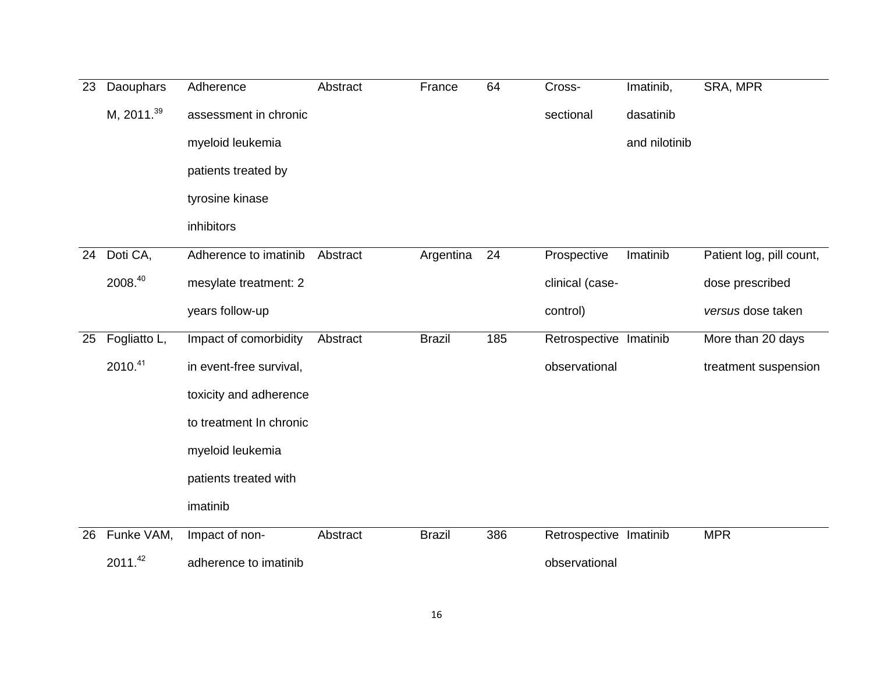| 23 | Daouphars       | Adherence               | Abstract | France        | 64  | Cross-                 | Imatinib,     | SRA, MPR                 |
|----|-----------------|-------------------------|----------|---------------|-----|------------------------|---------------|--------------------------|
|    | M, $2011.^{39}$ | assessment in chronic   |          |               |     | sectional              | dasatinib     |                          |
|    |                 | myeloid leukemia        |          |               |     |                        | and nilotinib |                          |
|    |                 | patients treated by     |          |               |     |                        |               |                          |
|    |                 | tyrosine kinase         |          |               |     |                        |               |                          |
|    |                 | inhibitors              |          |               |     |                        |               |                          |
| 24 | Doti CA,        | Adherence to imatinib   | Abstract | Argentina     | 24  | Prospective            | Imatinib      | Patient log, pill count, |
|    | 2008.40         | mesylate treatment: 2   |          |               |     | clinical (case-        |               | dose prescribed          |
|    |                 | years follow-up         |          |               |     | control)               |               | versus dose taken        |
| 25 | Fogliatto L,    | Impact of comorbidity   | Abstract | <b>Brazil</b> | 185 | Retrospective Imatinib |               | More than 20 days        |
|    | 2010.41         | in event-free survival, |          |               |     | observational          |               | treatment suspension     |
|    |                 | toxicity and adherence  |          |               |     |                        |               |                          |
|    |                 | to treatment In chronic |          |               |     |                        |               |                          |
|    |                 | myeloid leukemia        |          |               |     |                        |               |                          |
|    |                 | patients treated with   |          |               |     |                        |               |                          |
|    |                 | imatinib                |          |               |     |                        |               |                          |
| 26 | Funke VAM,      | Impact of non-          | Abstract | <b>Brazil</b> | 386 | Retrospective Imatinib |               | <b>MPR</b>               |
|    | 2011.42         | adherence to imatinib   |          |               |     | observational          |               |                          |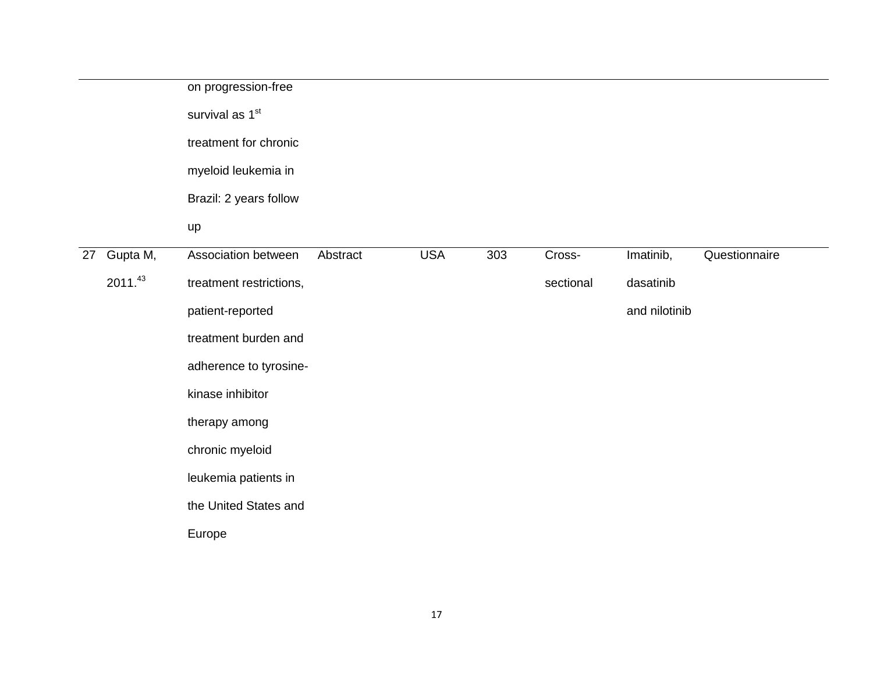| survival as 1 <sup>st</sup><br>treatment for chronic<br>myeloid leukemia in<br>Brazil: 2 years follow<br>up<br>Gupta M,<br><b>USA</b><br>303<br>Imatinib,<br>Questionnaire<br>Association between<br>Abstract<br>Cross-<br>27<br>2011.43<br>treatment restrictions,<br>sectional<br>dasatinib<br>and nilotinib<br>patient-reported<br>treatment burden and<br>adherence to tyrosine-<br>kinase inhibitor<br>therapy among<br>chronic myeloid<br>leukemia patients in<br>the United States and<br>Europe |  | on progression-free |  |  |  |
|---------------------------------------------------------------------------------------------------------------------------------------------------------------------------------------------------------------------------------------------------------------------------------------------------------------------------------------------------------------------------------------------------------------------------------------------------------------------------------------------------------|--|---------------------|--|--|--|
|                                                                                                                                                                                                                                                                                                                                                                                                                                                                                                         |  |                     |  |  |  |
|                                                                                                                                                                                                                                                                                                                                                                                                                                                                                                         |  |                     |  |  |  |
|                                                                                                                                                                                                                                                                                                                                                                                                                                                                                                         |  |                     |  |  |  |
|                                                                                                                                                                                                                                                                                                                                                                                                                                                                                                         |  |                     |  |  |  |
|                                                                                                                                                                                                                                                                                                                                                                                                                                                                                                         |  |                     |  |  |  |
|                                                                                                                                                                                                                                                                                                                                                                                                                                                                                                         |  |                     |  |  |  |
|                                                                                                                                                                                                                                                                                                                                                                                                                                                                                                         |  |                     |  |  |  |
|                                                                                                                                                                                                                                                                                                                                                                                                                                                                                                         |  |                     |  |  |  |
|                                                                                                                                                                                                                                                                                                                                                                                                                                                                                                         |  |                     |  |  |  |
|                                                                                                                                                                                                                                                                                                                                                                                                                                                                                                         |  |                     |  |  |  |
|                                                                                                                                                                                                                                                                                                                                                                                                                                                                                                         |  |                     |  |  |  |
|                                                                                                                                                                                                                                                                                                                                                                                                                                                                                                         |  |                     |  |  |  |
|                                                                                                                                                                                                                                                                                                                                                                                                                                                                                                         |  |                     |  |  |  |
|                                                                                                                                                                                                                                                                                                                                                                                                                                                                                                         |  |                     |  |  |  |
|                                                                                                                                                                                                                                                                                                                                                                                                                                                                                                         |  |                     |  |  |  |
|                                                                                                                                                                                                                                                                                                                                                                                                                                                                                                         |  |                     |  |  |  |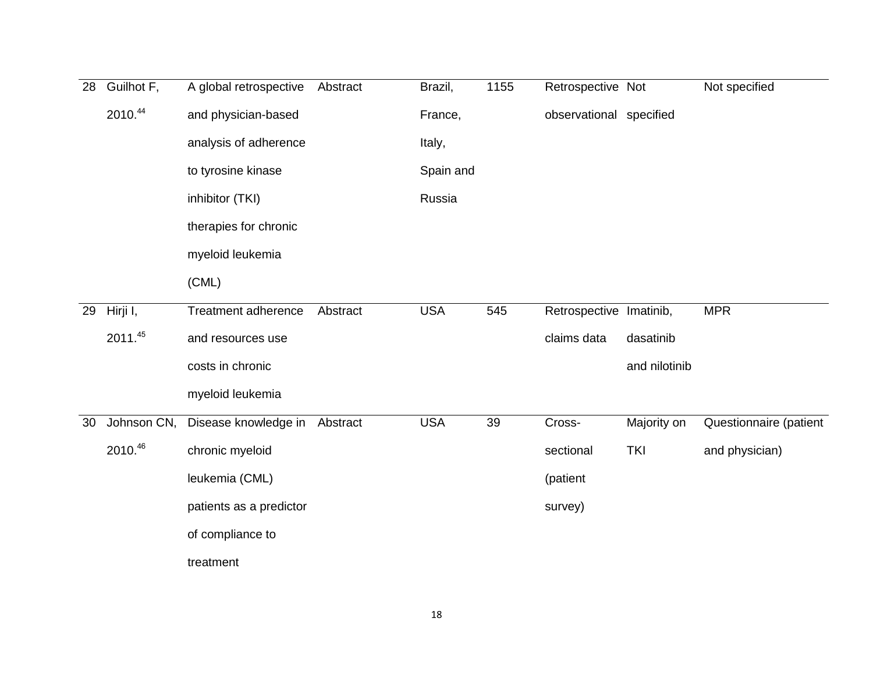| 28 | Guilhot F,  | A global retrospective  | Abstract | Brazil,    | 1155 | Retrospective Not       |               | Not specified          |
|----|-------------|-------------------------|----------|------------|------|-------------------------|---------------|------------------------|
|    | 2010.44     | and physician-based     |          | France,    |      | observational specified |               |                        |
|    |             | analysis of adherence   |          | Italy,     |      |                         |               |                        |
|    |             | to tyrosine kinase      |          | Spain and  |      |                         |               |                        |
|    |             | inhibitor (TKI)         |          | Russia     |      |                         |               |                        |
|    |             | therapies for chronic   |          |            |      |                         |               |                        |
|    |             | myeloid leukemia        |          |            |      |                         |               |                        |
|    |             | (CML)                   |          |            |      |                         |               |                        |
| 29 | Hirji I,    | Treatment adherence     | Abstract | <b>USA</b> | 545  | Retrospective Imatinib, |               | <b>MPR</b>             |
|    | 2011.45     | and resources use       |          |            |      | claims data             | dasatinib     |                        |
|    |             | costs in chronic        |          |            |      |                         | and nilotinib |                        |
|    |             | myeloid leukemia        |          |            |      |                         |               |                        |
| 30 | Johnson CN, | Disease knowledge in    | Abstract | <b>USA</b> | 39   | Cross-                  | Majority on   | Questionnaire (patient |
|    | 2010.46     | chronic myeloid         |          |            |      | sectional               | <b>TKI</b>    | and physician)         |
|    |             | leukemia (CML)          |          |            |      | (patient                |               |                        |
|    |             | patients as a predictor |          |            |      | survey)                 |               |                        |
|    |             | of compliance to        |          |            |      |                         |               |                        |
|    |             | treatment               |          |            |      |                         |               |                        |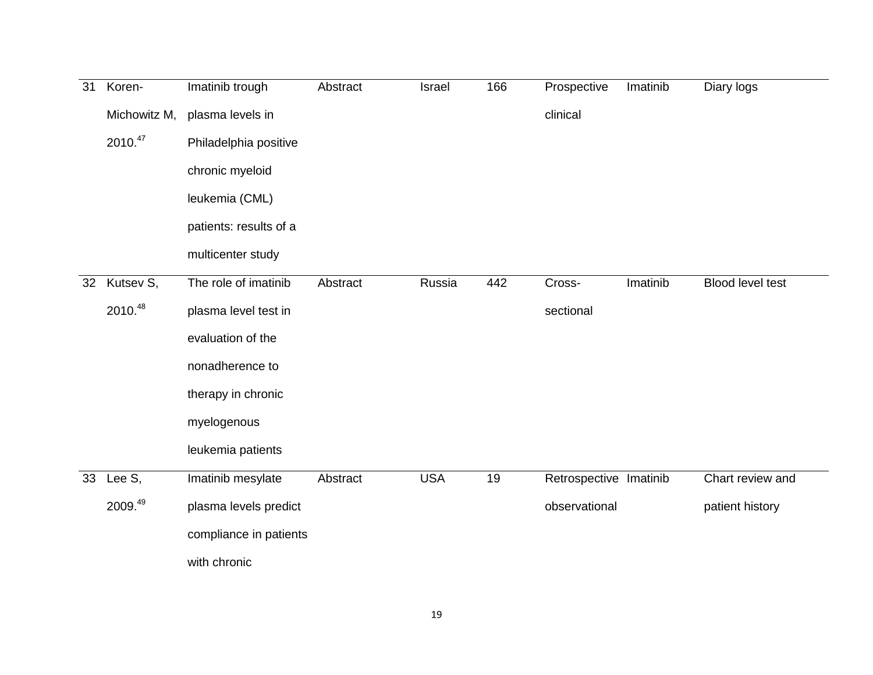| $\overline{31}$ | Koren-       | Imatinib trough        | Abstract | Israel     | 166 | Prospective            | Imatinib | Diary logs       |
|-----------------|--------------|------------------------|----------|------------|-----|------------------------|----------|------------------|
|                 | Michowitz M, | plasma levels in       |          |            |     | clinical               |          |                  |
|                 | 2010.47      | Philadelphia positive  |          |            |     |                        |          |                  |
|                 |              | chronic myeloid        |          |            |     |                        |          |                  |
|                 |              | leukemia (CML)         |          |            |     |                        |          |                  |
|                 |              | patients: results of a |          |            |     |                        |          |                  |
|                 |              | multicenter study      |          |            |     |                        |          |                  |
| 32              | Kutsev S,    | The role of imatinib   | Abstract | Russia     | 442 | Cross-                 | Imatinib | Blood level test |
|                 | 2010.48      | plasma level test in   |          |            |     | sectional              |          |                  |
|                 |              | evaluation of the      |          |            |     |                        |          |                  |
|                 |              | nonadherence to        |          |            |     |                        |          |                  |
|                 |              | therapy in chronic     |          |            |     |                        |          |                  |
|                 |              | myelogenous            |          |            |     |                        |          |                  |
|                 |              | leukemia patients      |          |            |     |                        |          |                  |
| 33              | Lee $S$ ,    | Imatinib mesylate      | Abstract | <b>USA</b> | 19  | Retrospective Imatinib |          | Chart review and |
|                 | 2009.49      | plasma levels predict  |          |            |     | observational          |          | patient history  |
|                 |              | compliance in patients |          |            |     |                        |          |                  |
|                 |              | with chronic           |          |            |     |                        |          |                  |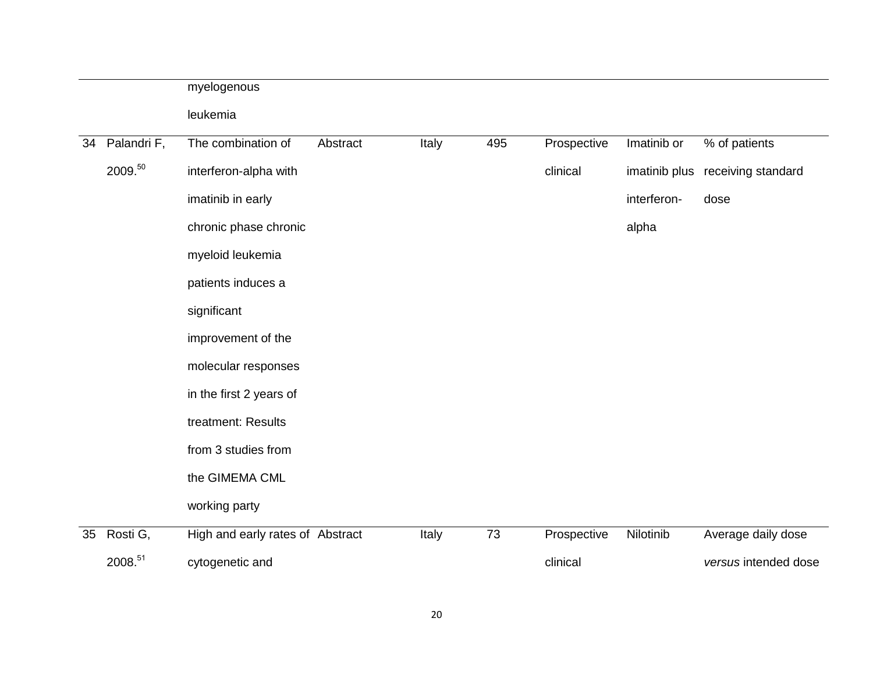|    |                        | myelogenous                      |          |       |                 |             |               |                      |
|----|------------------------|----------------------------------|----------|-------|-----------------|-------------|---------------|----------------------|
|    |                        | leukemia                         |          |       |                 |             |               |                      |
| 34 | Palandri <sub>F,</sub> | The combination of               | Abstract | Italy | 495             | Prospective | Imatinib or   | % of patients        |
|    | 2009.50                | interferon-alpha with            |          |       |                 | clinical    | imatinib plus | receiving standard   |
|    |                        | imatinib in early                |          |       |                 |             | interferon-   | dose                 |
|    |                        | chronic phase chronic            |          |       |                 |             | alpha         |                      |
|    |                        | myeloid leukemia                 |          |       |                 |             |               |                      |
|    |                        | patients induces a               |          |       |                 |             |               |                      |
|    |                        | significant                      |          |       |                 |             |               |                      |
|    |                        | improvement of the               |          |       |                 |             |               |                      |
|    |                        | molecular responses              |          |       |                 |             |               |                      |
|    |                        | in the first 2 years of          |          |       |                 |             |               |                      |
|    |                        | treatment: Results               |          |       |                 |             |               |                      |
|    |                        | from 3 studies from              |          |       |                 |             |               |                      |
|    |                        | the GIMEMA CML                   |          |       |                 |             |               |                      |
|    |                        | working party                    |          |       |                 |             |               |                      |
| 35 | Rosti G,               | High and early rates of Abstract |          | Italy | $\overline{73}$ | Prospective | Nilotinib     | Average daily dose   |
|    | 2008.51                | cytogenetic and                  |          |       |                 | clinical    |               | versus intended dose |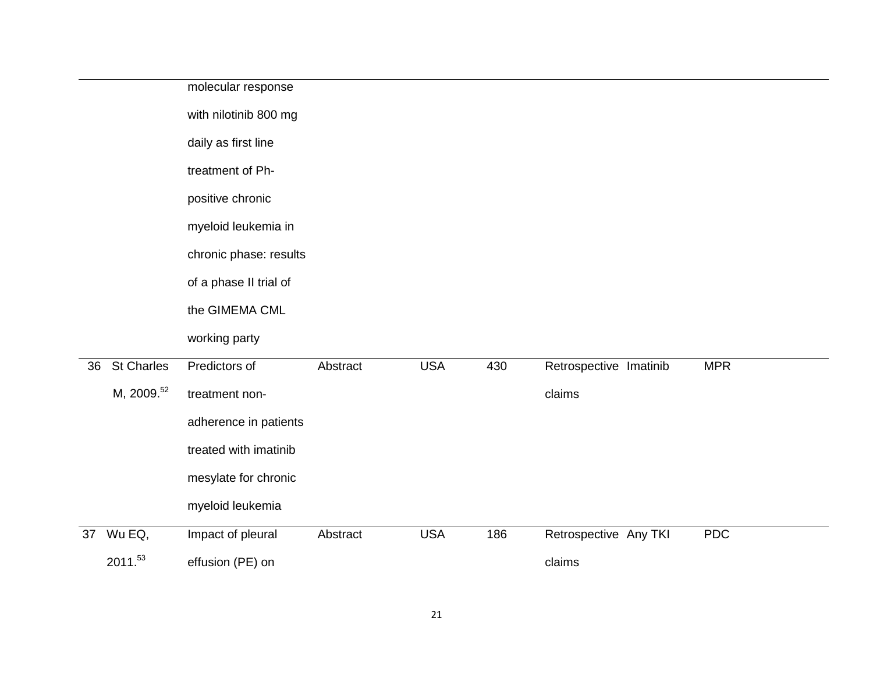|    |                        | molecular response     |          |            |     |                        |            |
|----|------------------------|------------------------|----------|------------|-----|------------------------|------------|
|    |                        | with nilotinib 800 mg  |          |            |     |                        |            |
|    |                        | daily as first line    |          |            |     |                        |            |
|    |                        | treatment of Ph-       |          |            |     |                        |            |
|    |                        | positive chronic       |          |            |     |                        |            |
|    |                        | myeloid leukemia in    |          |            |     |                        |            |
|    |                        | chronic phase: results |          |            |     |                        |            |
|    |                        | of a phase II trial of |          |            |     |                        |            |
|    |                        | the GIMEMA CML         |          |            |     |                        |            |
|    |                        | working party          |          |            |     |                        |            |
| 36 | <b>St Charles</b>      | Predictors of          | Abstract | <b>USA</b> | 430 | Retrospective Imatinib | <b>MPR</b> |
|    | M, 2009. <sup>52</sup> | treatment non-         |          |            |     | claims                 |            |
|    |                        | adherence in patients  |          |            |     |                        |            |
|    |                        | treated with imatinib  |          |            |     |                        |            |
|    |                        | mesylate for chronic   |          |            |     |                        |            |
|    |                        | myeloid leukemia       |          |            |     |                        |            |
| 37 | Wu EQ,                 | Impact of pleural      | Abstract | <b>USA</b> | 186 | Retrospective Any TKI  | <b>PDC</b> |
|    | 2011.53                | effusion (PE) on       |          |            |     | claims                 |            |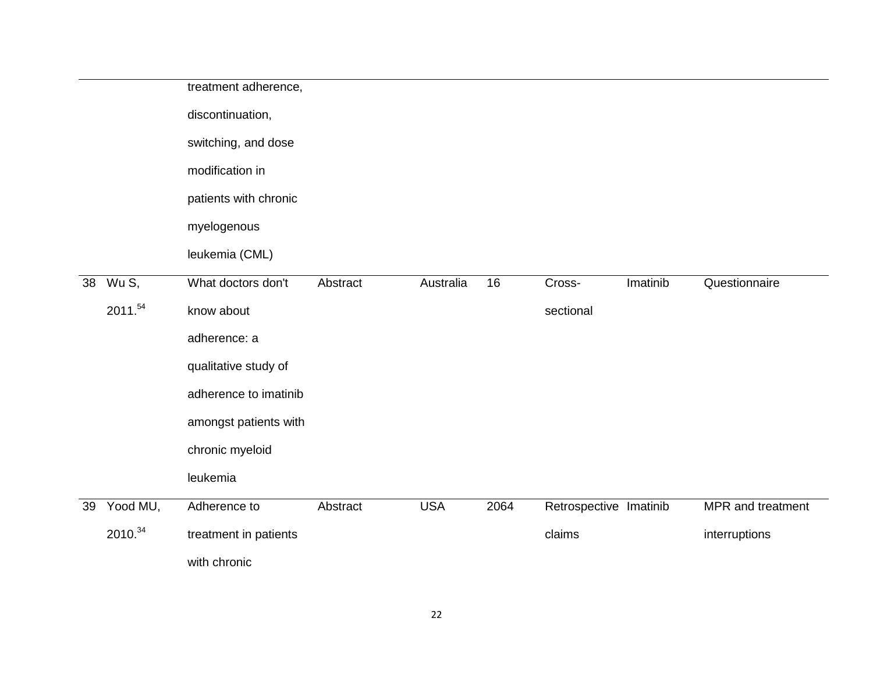|    |          | treatment adherence,  |          |            |      |                        |          |                   |
|----|----------|-----------------------|----------|------------|------|------------------------|----------|-------------------|
|    |          | discontinuation,      |          |            |      |                        |          |                   |
|    |          | switching, and dose   |          |            |      |                        |          |                   |
|    |          | modification in       |          |            |      |                        |          |                   |
|    |          | patients with chronic |          |            |      |                        |          |                   |
|    |          | myelogenous           |          |            |      |                        |          |                   |
|    |          | leukemia (CML)        |          |            |      |                        |          |                   |
| 38 | Wu S,    | What doctors don't    | Abstract | Australia  | 16   | Cross-                 | Imatinib | Questionnaire     |
|    | 2011.54  | know about            |          |            |      | sectional              |          |                   |
|    |          | adherence: a          |          |            |      |                        |          |                   |
|    |          | qualitative study of  |          |            |      |                        |          |                   |
|    |          | adherence to imatinib |          |            |      |                        |          |                   |
|    |          | amongst patients with |          |            |      |                        |          |                   |
|    |          | chronic myeloid       |          |            |      |                        |          |                   |
|    |          | leukemia              |          |            |      |                        |          |                   |
| 39 | Yood MU, | Adherence to          | Abstract | <b>USA</b> | 2064 | Retrospective Imatinib |          | MPR and treatment |
|    | 2010.34  | treatment in patients |          |            |      | claims                 |          | interruptions     |
|    |          | with chronic          |          |            |      |                        |          |                   |